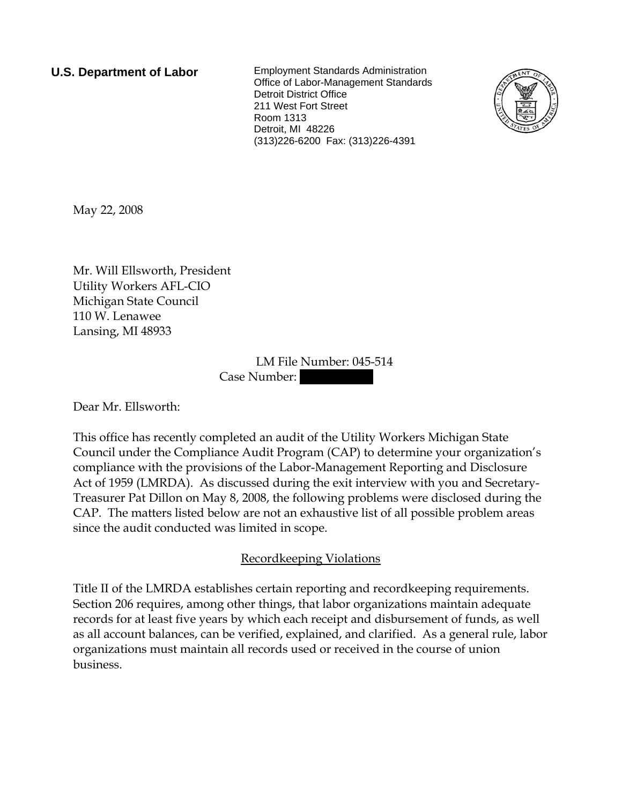**U.S. Department of Labor** Employment Standards Administration Office of Labor-Management Standards Detroit District Office 211 West Fort Street Room 1313 Detroit, MI 48226 (313)226-6200 Fax: (313)226-4391



May 22, 2008

Mr. Will Ellsworth, President Utility Workers AFL-CIO Michigan State Council 110 W. Lenawee Lansing, MI 48933

> LM File Number: 045-514 Case Number:

Dear Mr. Ellsworth:

This office has recently completed an audit of the Utility Workers Michigan State Council under the Compliance Audit Program (CAP) to determine your organization's compliance with the provisions of the Labor-Management Reporting and Disclosure Act of 1959 (LMRDA). As discussed during the exit interview with you and Secretary-Treasurer Pat Dillon on May 8, 2008, the following problems were disclosed during the CAP. The matters listed below are not an exhaustive list of all possible problem areas since the audit conducted was limited in scope.

# Recordkeeping Violations

Title II of the LMRDA establishes certain reporting and recordkeeping requirements. Section 206 requires, among other things, that labor organizations maintain adequate records for at least five years by which each receipt and disbursement of funds, as well as all account balances, can be verified, explained, and clarified. As a general rule, labor organizations must maintain all records used or received in the course of union business.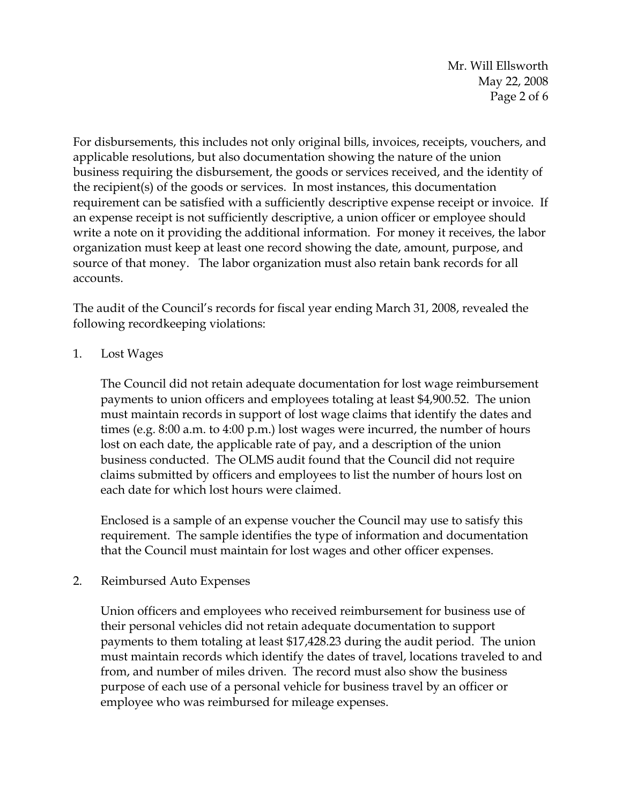Mr. Will Ellsworth May 22, 2008 Page 2 of 6

For disbursements, this includes not only original bills, invoices, receipts, vouchers, and applicable resolutions, but also documentation showing the nature of the union business requiring the disbursement, the goods or services received, and the identity of the recipient(s) of the goods or services. In most instances, this documentation requirement can be satisfied with a sufficiently descriptive expense receipt or invoice. If an expense receipt is not sufficiently descriptive, a union officer or employee should write a note on it providing the additional information. For money it receives, the labor organization must keep at least one record showing the date, amount, purpose, and source of that money. The labor organization must also retain bank records for all accounts.

The audit of the Council's records for fiscal year ending March 31, 2008, revealed the following recordkeeping violations:

1. Lost Wages

The Council did not retain adequate documentation for lost wage reimbursement payments to union officers and employees totaling at least \$4,900.52. The union must maintain records in support of lost wage claims that identify the dates and times (e.g. 8:00 a.m. to 4:00 p.m.) lost wages were incurred, the number of hours lost on each date, the applicable rate of pay, and a description of the union business conducted. The OLMS audit found that the Council did not require claims submitted by officers and employees to list the number of hours lost on each date for which lost hours were claimed.

Enclosed is a sample of an expense voucher the Council may use to satisfy this requirement. The sample identifies the type of information and documentation that the Council must maintain for lost wages and other officer expenses.

2. Reimbursed Auto Expenses

Union officers and employees who received reimbursement for business use of their personal vehicles did not retain adequate documentation to support payments to them totaling at least \$17,428.23 during the audit period. The union must maintain records which identify the dates of travel, locations traveled to and from, and number of miles driven. The record must also show the business purpose of each use of a personal vehicle for business travel by an officer or employee who was reimbursed for mileage expenses.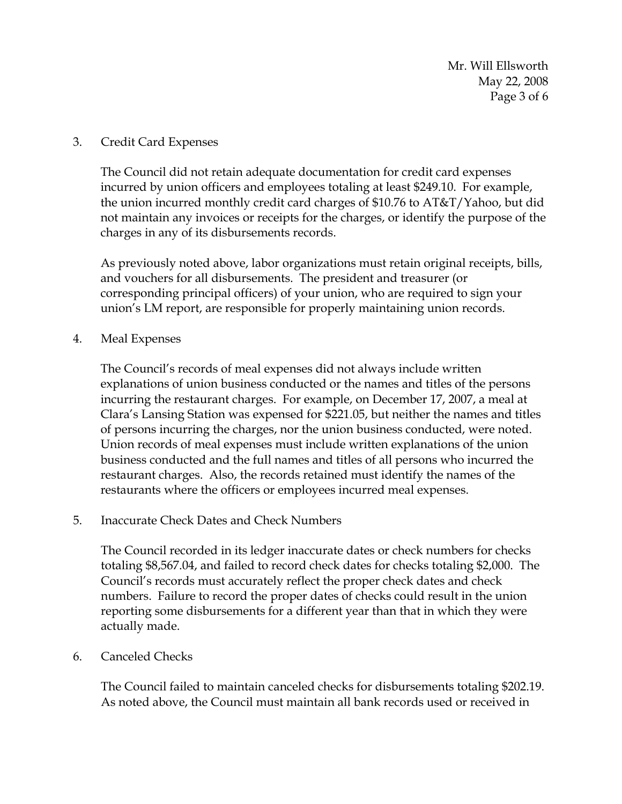Mr. Will Ellsworth May 22, 2008 Page 3 of 6

#### 3. Credit Card Expenses

The Council did not retain adequate documentation for credit card expenses incurred by union officers and employees totaling at least \$249.10. For example, the union incurred monthly credit card charges of \$10.76 to AT&T/Yahoo, but did not maintain any invoices or receipts for the charges, or identify the purpose of the charges in any of its disbursements records.

As previously noted above, labor organizations must retain original receipts, bills, and vouchers for all disbursements. The president and treasurer (or corresponding principal officers) of your union, who are required to sign your union's LM report, are responsible for properly maintaining union records.

4. Meal Expenses

The Council's records of meal expenses did not always include written explanations of union business conducted or the names and titles of the persons incurring the restaurant charges. For example, on December 17, 2007, a meal at Clara's Lansing Station was expensed for \$221.05, but neither the names and titles of persons incurring the charges, nor the union business conducted, were noted. Union records of meal expenses must include written explanations of the union business conducted and the full names and titles of all persons who incurred the restaurant charges. Also, the records retained must identify the names of the restaurants where the officers or employees incurred meal expenses.

### 5. Inaccurate Check Dates and Check Numbers

The Council recorded in its ledger inaccurate dates or check numbers for checks totaling \$8,567.04, and failed to record check dates for checks totaling \$2,000. The Council's records must accurately reflect the proper check dates and check numbers. Failure to record the proper dates of checks could result in the union reporting some disbursements for a different year than that in which they were actually made.

#### 6. Canceled Checks

The Council failed to maintain canceled checks for disbursements totaling \$202.19. As noted above, the Council must maintain all bank records used or received in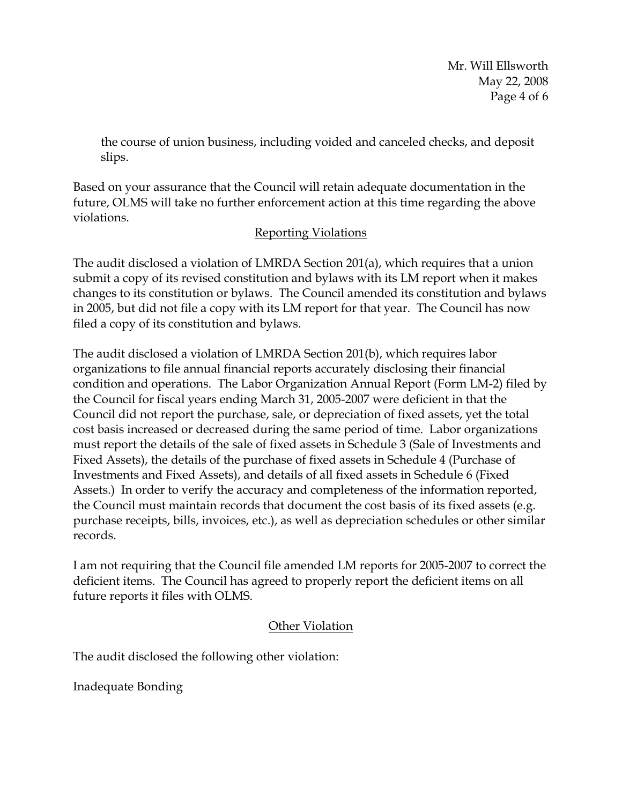Mr. Will Ellsworth May 22, 2008 Page 4 of 6

the course of union business, including voided and canceled checks, and deposit slips.

Based on your assurance that the Council will retain adequate documentation in the future, OLMS will take no further enforcement action at this time regarding the above violations.

# Reporting Violations

The audit disclosed a violation of LMRDA Section 201(a), which requires that a union submit a copy of its revised constitution and bylaws with its LM report when it makes changes to its constitution or bylaws. The Council amended its constitution and bylaws in 2005, but did not file a copy with its LM report for that year. The Council has now filed a copy of its constitution and bylaws.

The audit disclosed a violation of LMRDA Section 201(b), which requires labor organizations to file annual financial reports accurately disclosing their financial condition and operations. The Labor Organization Annual Report (Form LM-2) filed by the Council for fiscal years ending March 31, 2005-2007 were deficient in that the Council did not report the purchase, sale, or depreciation of fixed assets, yet the total cost basis increased or decreased during the same period of time. Labor organizations must report the details of the sale of fixed assets in Schedule 3 (Sale of Investments and Fixed Assets), the details of the purchase of fixed assets in Schedule 4 (Purchase of Investments and Fixed Assets), and details of all fixed assets in Schedule 6 (Fixed Assets.) In order to verify the accuracy and completeness of the information reported, the Council must maintain records that document the cost basis of its fixed assets (e.g. purchase receipts, bills, invoices, etc.), as well as depreciation schedules or other similar records.

I am not requiring that the Council file amended LM reports for 2005-2007 to correct the deficient items. The Council has agreed to properly report the deficient items on all future reports it files with OLMS.

# Other Violation

The audit disclosed the following other violation:

Inadequate Bonding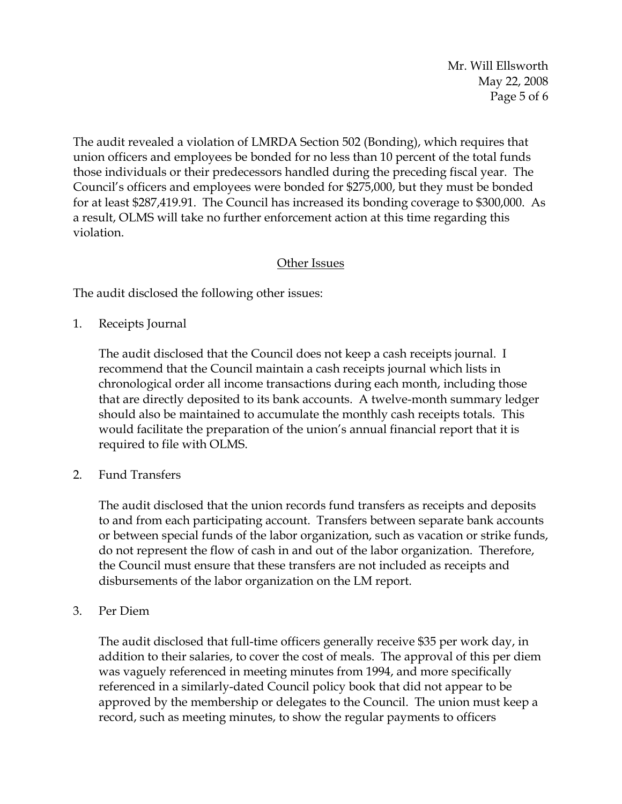Mr. Will Ellsworth May 22, 2008 Page 5 of 6

The audit revealed a violation of LMRDA Section 502 (Bonding), which requires that union officers and employees be bonded for no less than 10 percent of the total funds those individuals or their predecessors handled during the preceding fiscal year. The Council's officers and employees were bonded for \$275,000, but they must be bonded for at least \$287,419.91. The Council has increased its bonding coverage to \$300,000. As a result, OLMS will take no further enforcement action at this time regarding this violation.

### Other Issues

The audit disclosed the following other issues:

1. Receipts Journal

The audit disclosed that the Council does not keep a cash receipts journal. I recommend that the Council maintain a cash receipts journal which lists in chronological order all income transactions during each month, including those that are directly deposited to its bank accounts. A twelve-month summary ledger should also be maintained to accumulate the monthly cash receipts totals. This would facilitate the preparation of the union's annual financial report that it is required to file with OLMS.

2. Fund Transfers

The audit disclosed that the union records fund transfers as receipts and deposits to and from each participating account. Transfers between separate bank accounts or between special funds of the labor organization, such as vacation or strike funds, do not represent the flow of cash in and out of the labor organization. Therefore, the Council must ensure that these transfers are not included as receipts and disbursements of the labor organization on the LM report.

3. Per Diem

The audit disclosed that full-time officers generally receive \$35 per work day, in addition to their salaries, to cover the cost of meals. The approval of this per diem was vaguely referenced in meeting minutes from 1994, and more specifically referenced in a similarly-dated Council policy book that did not appear to be approved by the membership or delegates to the Council. The union must keep a record, such as meeting minutes, to show the regular payments to officers